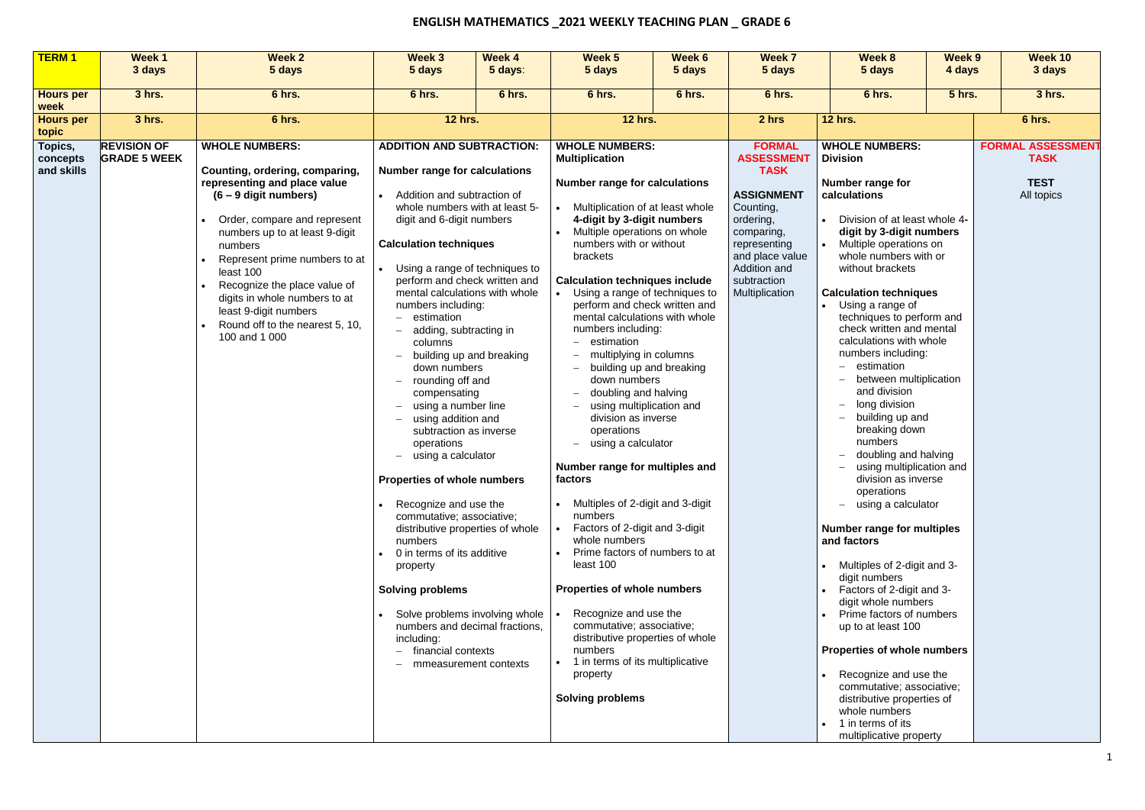## **ENGLISH MATHEMATICS \_2021 WEEKLY TEACHING PLAN \_ GRADE 6**

| <b>TERM1</b>              | Week 1              | <b>Week 2</b>                                                    | Week 3                                                          | Week 4                                                     | Week <sub>5</sub>                                                       | Week 6                   | Week 7                                 | <b>Week 8</b>                                                | Week 9        | Week 10                  |
|---------------------------|---------------------|------------------------------------------------------------------|-----------------------------------------------------------------|------------------------------------------------------------|-------------------------------------------------------------------------|--------------------------|----------------------------------------|--------------------------------------------------------------|---------------|--------------------------|
|                           | 3 days              | 5 days                                                           | 5 days                                                          | 5 days:                                                    | 5 days                                                                  | 5 days                   | 5 days                                 | 5 days                                                       | 4 days        | 3 days                   |
| <b>Hours per</b>          | 3 hrs.              | 6 hrs.                                                           | 6 hrs.                                                          | 6 hrs.                                                     | 6 hrs.                                                                  | 6 hrs.                   | 6 hrs.                                 | 6 hrs.                                                       | <b>5 hrs.</b> | 3 hrs.                   |
| week                      |                     |                                                                  |                                                                 |                                                            |                                                                         |                          |                                        |                                                              |               |                          |
| <b>Hours per</b><br>topic | 3 hrs.              | 6 hrs.                                                           | <b>12 hrs.</b>                                                  |                                                            | <b>12 hrs.</b>                                                          |                          | 2 hrs                                  | <b>12 hrs.</b>                                               |               | 6 hrs.                   |
| Topics,                   | <b>REVISION OF</b>  | <b>WHOLE NUMBERS:</b>                                            | <b>ADDITION AND SUBTRACTION:</b>                                |                                                            | <b>WHOLE NUMBERS:</b>                                                   |                          | <b>FORMAL</b>                          | <b>WHOLE NUMBERS:</b>                                        |               | <b>FORMAL ASSESSMENT</b> |
| concepts<br>and skills    | <b>GRADE 5 WEEK</b> | Counting, ordering, comparing,                                   | <b>Number range for calculations</b>                            |                                                            | <b>Multiplication</b>                                                   |                          | <b>ASSESSMENT</b><br><b>TASK</b>       | <b>Division</b>                                              |               | <b>TASK</b>              |
|                           |                     | representing and place value                                     |                                                                 |                                                            | <b>Number range for calculations</b>                                    |                          |                                        | Number range for                                             |               | <b>TEST</b>              |
|                           |                     | $(6 - 9$ digit numbers)                                          | Addition and subtraction of                                     |                                                            |                                                                         |                          | <b>ASSIGNMENT</b>                      | calculations                                                 |               | All topics               |
|                           |                     | Order, compare and represent                                     | whole numbers with at least 5-<br>digit and 6-digit numbers     |                                                            | Multiplication of at least whole<br>4-digit by 3-digit numbers          |                          | Counting,<br>ordering,                 | Division of at least whole 4-                                |               |                          |
|                           |                     | numbers up to at least 9-digit                                   |                                                                 |                                                            | Multiple operations on whole                                            |                          | comparing,                             | digit by 3-digit numbers                                     |               |                          |
|                           |                     | numbers                                                          | <b>Calculation techniques</b>                                   |                                                            | numbers with or without                                                 |                          | representing                           | Multiple operations on                                       |               |                          |
|                           |                     | Represent prime numbers to at                                    |                                                                 |                                                            | brackets                                                                |                          | and place value                        | whole numbers with or                                        |               |                          |
|                           |                     | least 100                                                        | Using a range of techniques to<br>perform and check written and |                                                            |                                                                         |                          | Addition and                           | without brackets                                             |               |                          |
|                           |                     | Recognize the place value of                                     | mental calculations with whole                                  |                                                            | <b>Calculation techniques include</b><br>Using a range of techniques to |                          | subtraction<br>Multiplication          | <b>Calculation techniques</b>                                |               |                          |
|                           |                     | digits in whole numbers to at                                    | numbers including:                                              |                                                            | perform and check written and                                           |                          |                                        | Using a range of                                             |               |                          |
|                           |                     | least 9-digit numbers<br>Round off to the nearest 5, 10,         | estimation<br>$\qquad \qquad -$                                 |                                                            | mental calculations with whole                                          |                          |                                        | techniques to perform and                                    |               |                          |
|                           |                     | 100 and 1 000                                                    | adding, subtracting in                                          |                                                            | numbers including:                                                      |                          |                                        | check written and mental                                     |               |                          |
|                           |                     |                                                                  | columns                                                         |                                                            | estimation                                                              |                          |                                        | calculations with whole<br>numbers including:                |               |                          |
|                           |                     |                                                                  | down numbers                                                    | building up and breaking                                   | multiplying in columns<br>building up and breaking                      |                          | estimation<br>$\overline{\phantom{0}}$ |                                                              |               |                          |
|                           |                     |                                                                  | rounding off and<br>$\qquad \qquad -$                           |                                                            | down numbers                                                            |                          |                                        | between multiplication                                       |               |                          |
|                           |                     |                                                                  | compensating                                                    |                                                            | doubling and halving                                                    |                          |                                        | and division                                                 |               |                          |
|                           |                     |                                                                  | using a number line                                             |                                                            | using multiplication and                                                |                          |                                        | long division<br>$\qquad \qquad -$                           |               |                          |
|                           |                     |                                                                  | using addition and                                              |                                                            | division as inverse<br>operations                                       |                          |                                        | building up and<br>$\overline{\phantom{0}}$<br>breaking down |               |                          |
|                           |                     |                                                                  | subtraction as inverse<br>operations                            |                                                            | using a calculator                                                      |                          |                                        | numbers                                                      |               |                          |
|                           |                     |                                                                  | using a calculator<br>$\qquad \qquad -$                         |                                                            |                                                                         |                          |                                        | doubling and halving<br>$\overline{\phantom{m}}$             |               |                          |
|                           |                     |                                                                  |                                                                 | Number range for multiples and<br>$\overline{\phantom{m}}$ |                                                                         | using multiplication and |                                        |                                                              |               |                          |
|                           |                     |                                                                  | <b>Properties of whole numbers</b>                              |                                                            | factors                                                                 |                          |                                        | division as inverse                                          |               |                          |
|                           |                     |                                                                  | Recognize and use the                                           |                                                            | Multiples of 2-digit and 3-digit                                        |                          |                                        | operations<br>using a calculator<br>$-$                      |               |                          |
|                           |                     |                                                                  | commutative; associative;                                       |                                                            | numbers                                                                 |                          |                                        |                                                              |               |                          |
|                           |                     |                                                                  | distributive properties of whole                                |                                                            | Factors of 2-digit and 3-digit                                          |                          |                                        | <b>Number range for multiples</b>                            |               |                          |
|                           |                     |                                                                  | numbers<br>0 in terms of its additive                           |                                                            | whole numbers<br>Prime factors of numbers to at                         |                          |                                        | and factors                                                  |               |                          |
|                           |                     |                                                                  | property                                                        |                                                            | least 100                                                               |                          |                                        | Multiples of 2-digit and 3-                                  |               |                          |
|                           |                     |                                                                  |                                                                 |                                                            |                                                                         |                          |                                        | digit numbers                                                |               |                          |
|                           |                     |                                                                  | <b>Solving problems</b>                                         |                                                            | <b>Properties of whole numbers</b>                                      |                          |                                        | Factors of 2-digit and 3-                                    |               |                          |
|                           |                     |                                                                  |                                                                 |                                                            | Recognize and use the                                                   |                          |                                        | digit whole numbers<br>Prime factors of numbers              |               |                          |
|                           |                     | Solve problems involving whole<br>numbers and decimal fractions, |                                                                 | commutative; associative;                                  |                                                                         |                          | up to at least 100                     |                                                              |               |                          |
|                           |                     |                                                                  | including:                                                      |                                                            | distributive properties of whole                                        |                          |                                        |                                                              |               |                          |
|                           |                     |                                                                  | financial contexts                                              |                                                            | numbers                                                                 |                          |                                        | <b>Properties of whole numbers</b>                           |               |                          |
|                           |                     |                                                                  |                                                                 | mmeasurement contexts                                      | 1 in terms of its multiplicative                                        |                          |                                        | Recognize and use the                                        |               |                          |
|                           |                     |                                                                  |                                                                 |                                                            | property                                                                |                          |                                        | commutative; associative;                                    |               |                          |
|                           |                     |                                                                  |                                                                 |                                                            | <b>Solving problems</b>                                                 |                          |                                        | distributive properties of                                   |               |                          |
|                           |                     |                                                                  |                                                                 |                                                            |                                                                         |                          |                                        | whole numbers                                                |               |                          |
|                           |                     |                                                                  |                                                                 |                                                            |                                                                         |                          |                                        | 1 in terms of its                                            |               |                          |
|                           |                     |                                                                  |                                                                 |                                                            |                                                                         |                          |                                        | multiplicative property                                      |               |                          |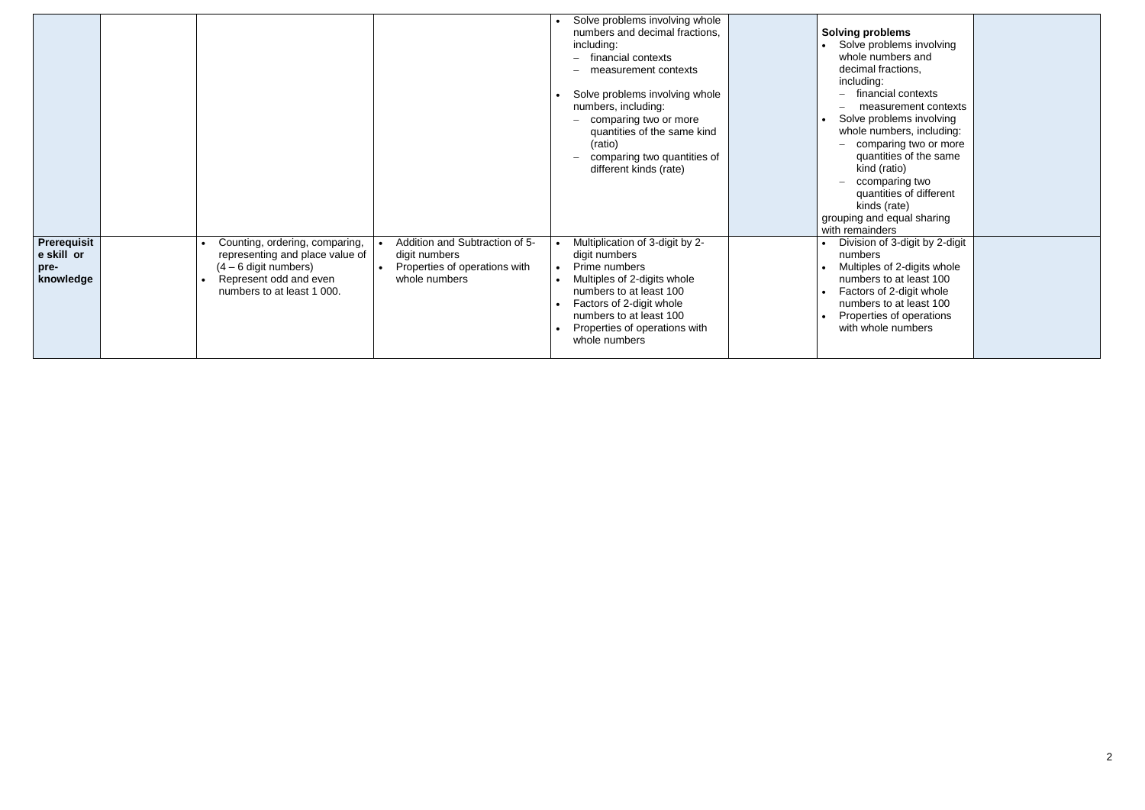|                                                       |                                                                                                                                                      |                                                                                                   | Solve problems involving whole<br>numbers and decimal fractions,<br>including:<br>financial contexts<br>measurement contexts<br>Solve problems involving whole<br>numbers, including:<br>comparing two or more<br>quantities of the same kind<br>(ratio)<br>comparing two quantities of<br>different kinds (rate) | <b>Solving problems</b><br>Solve problems involving<br>whole numbers and<br>decimal fractions,<br>including:<br>financial contexts<br>measurement contexts<br>Solve problems involving<br>whole numbers, including:<br>comparing two or more<br>quantities of the same<br>kind (ratio)<br>ccomparing two<br>quantities of different<br>kinds (rate)<br>grouping and equal sharing<br>with remainders |  |
|-------------------------------------------------------|------------------------------------------------------------------------------------------------------------------------------------------------------|---------------------------------------------------------------------------------------------------|-------------------------------------------------------------------------------------------------------------------------------------------------------------------------------------------------------------------------------------------------------------------------------------------------------------------|------------------------------------------------------------------------------------------------------------------------------------------------------------------------------------------------------------------------------------------------------------------------------------------------------------------------------------------------------------------------------------------------------|--|
| <b>Prerequisit</b><br>e skill or<br>pre-<br>knowledge | Counting, ordering, comparing,<br>representing and place value of<br>$(4 - 6$ digit numbers)<br>Represent odd and even<br>numbers to at least 1 000. | Addition and Subtraction of 5-<br>digit numbers<br>Properties of operations with<br>whole numbers | Multiplication of 3-digit by 2-<br>digit numbers<br>Prime numbers<br>Multiples of 2-digits whole<br>numbers to at least 100<br>Factors of 2-digit whole<br>numbers to at least 100<br>Properties of operations with<br>whole numbers                                                                              | Division of 3-digit by 2-digit<br>numbers<br>Multiples of 2-digits whole<br>numbers to at least 100<br>Factors of 2-digit whole<br>numbers to at least 100<br>Properties of operations<br>with whole numbers                                                                                                                                                                                         |  |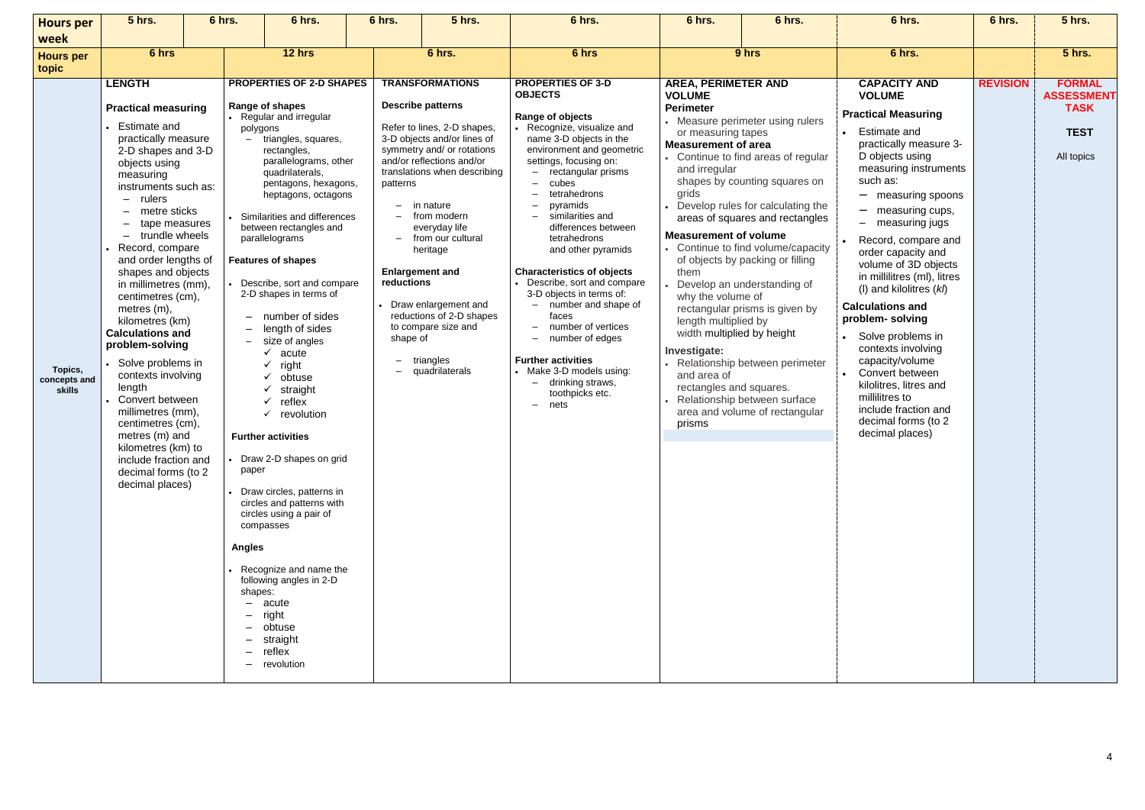| <b>Hours per</b><br>week          | <b>5 hrs.</b>                                                                                                                                                                                                                                                                                                                                                                                                                                                                                                                                                                                                                                                          | 6 hrs.                                        | 6 hrs.                                                                                                                                                                                                                                                                                                                                                                                                                                                                                                                                                                                                                                                                                                                                                                                                                                                       | 6 hrs.                                                                     | <b>5 hrs.</b>                                                                                                                                                                                                                                                                                                                                                                                                                   | 6 hrs.                                                                                                                                                                                                                                                                                                                                                                                                                                                                                                                                                                                                              | 6 hrs.                                                                                                                                                                                                                                                                                                                               | 6 hrs.                                                                                                                                                                                                                                                                                                                                                                                                                      | 6 hrs.                                                                                                                                                                                                                                                                                                                                                                                                                                                                                                                                                                                                                                             | 6 hrs.          | <b>5 hrs.</b>                                                                  |
|-----------------------------------|------------------------------------------------------------------------------------------------------------------------------------------------------------------------------------------------------------------------------------------------------------------------------------------------------------------------------------------------------------------------------------------------------------------------------------------------------------------------------------------------------------------------------------------------------------------------------------------------------------------------------------------------------------------------|-----------------------------------------------|--------------------------------------------------------------------------------------------------------------------------------------------------------------------------------------------------------------------------------------------------------------------------------------------------------------------------------------------------------------------------------------------------------------------------------------------------------------------------------------------------------------------------------------------------------------------------------------------------------------------------------------------------------------------------------------------------------------------------------------------------------------------------------------------------------------------------------------------------------------|----------------------------------------------------------------------------|---------------------------------------------------------------------------------------------------------------------------------------------------------------------------------------------------------------------------------------------------------------------------------------------------------------------------------------------------------------------------------------------------------------------------------|---------------------------------------------------------------------------------------------------------------------------------------------------------------------------------------------------------------------------------------------------------------------------------------------------------------------------------------------------------------------------------------------------------------------------------------------------------------------------------------------------------------------------------------------------------------------------------------------------------------------|--------------------------------------------------------------------------------------------------------------------------------------------------------------------------------------------------------------------------------------------------------------------------------------------------------------------------------------|-----------------------------------------------------------------------------------------------------------------------------------------------------------------------------------------------------------------------------------------------------------------------------------------------------------------------------------------------------------------------------------------------------------------------------|----------------------------------------------------------------------------------------------------------------------------------------------------------------------------------------------------------------------------------------------------------------------------------------------------------------------------------------------------------------------------------------------------------------------------------------------------------------------------------------------------------------------------------------------------------------------------------------------------------------------------------------------------|-----------------|--------------------------------------------------------------------------------|
| <b>Hours per</b><br>topic         | 6 hrs                                                                                                                                                                                                                                                                                                                                                                                                                                                                                                                                                                                                                                                                  |                                               | 12 hrs                                                                                                                                                                                                                                                                                                                                                                                                                                                                                                                                                                                                                                                                                                                                                                                                                                                       |                                                                            | 6 hrs.                                                                                                                                                                                                                                                                                                                                                                                                                          | 6 hrs                                                                                                                                                                                                                                                                                                                                                                                                                                                                                                                                                                                                               |                                                                                                                                                                                                                                                                                                                                      | 9 hrs                                                                                                                                                                                                                                                                                                                                                                                                                       | 6 hrs.                                                                                                                                                                                                                                                                                                                                                                                                                                                                                                                                                                                                                                             |                 | <b>5 hrs.</b>                                                                  |
| Topics,<br>concepts and<br>skills | <b>LENGTH</b><br><b>Practical measuring</b><br><b>Estimate and</b><br>practically measure<br>2-D shapes and 3-D<br>objects using<br>measuring<br>instruments such as:<br>rulers<br>$-$<br>metre sticks<br>tape measures<br>trundle wheels<br>Record, compare<br>and order lengths of<br>shapes and objects<br>in millimetres (mm),<br>centimetres (cm),<br>metres $(m)$ ,<br>kilometres (km)<br><b>Calculations and</b><br>problem-solving<br>Solve problems in<br>contexts involving<br>length<br>Convert between<br>millimetres (mm),<br>centimetres (cm),<br>metres (m) and<br>kilometres (km) to<br>include fraction and<br>decimal forms (to 2<br>decimal places) | polygons<br>paper<br><b>Angles</b><br>shapes: | <b>PROPERTIES OF 2-D SHAPES</b><br>Range of shapes<br>• Regular and irregular<br>triangles, squares,<br>rectangles,<br>parallelograms, other<br>quadrilaterals,<br>pentagons, hexagons,<br>heptagons, octagons<br>Similarities and differences<br>between rectangles and<br>parallelograms<br><b>Features of shapes</b><br>Describe, sort and compare<br>2-D shapes in terms of<br>number of sides<br>length of sides<br>size of angles<br>✓<br>acute<br>right<br>✓<br>$\checkmark$ obtuse<br>✓<br>straight<br>reflex<br>$\checkmark$<br>$\checkmark$<br>revolution<br><b>Further activities</b><br>Draw 2-D shapes on grid<br>• Draw circles, patterns in<br>circles and patterns with<br>circles using a pair of<br>compasses<br>• Recognize and name the<br>following angles in 2-D<br>$-$ acute<br>right<br>obtuse<br>straight<br>reflex<br>- revolution | patterns<br>$\equiv$<br>reductions<br>shape of<br>$\overline{\phantom{0}}$ | <b>TRANSFORMATIONS</b><br><b>Describe patterns</b><br>Refer to lines, 2-D shapes,<br>3-D objects and/or lines of<br>symmetry and/ or rotations<br>and/or reflections and/or<br>translations when describing<br>in nature<br>from modern<br>everyday life<br>- from our cultural<br>heritage<br><b>Enlargement and</b><br>Draw enlargement and<br>reductions of 2-D shapes<br>to compare size and<br>triangles<br>quadrilaterals | <b>PROPERTIES OF 3-D</b><br><b>OBJECTS</b><br>Range of objects<br>Recognize, visualize and<br>name 3-D objects in the<br>environment and geometric<br>settings, focusing on:<br>- rectangular prisms<br>cubes<br>tetrahedrons<br>pyramids<br>similarities and<br>differences between<br>tetrahedrons<br>and other pyramids<br><b>Characteristics of objects</b><br>Describe, sort and compare<br>3-D objects in terms of:<br>- number and shape of<br>faces<br>number of vertices<br>number of edges<br><b>Further activities</b><br>• Make 3-D models using:<br>drinking straws,<br>toothpicks etc.<br>nets<br>$-$ | <b>AREA, PERIMETER AND</b><br><b>VOLUME</b><br><b>Perimeter</b><br>or measuring tapes<br><b>Measurement of area</b><br>and irregular<br>grids<br><b>Measurement of volume</b><br>them<br>why the volume of<br>length multiplied by<br>width multiplied by height<br>Investigate:<br>and area of<br>rectangles and squares.<br>prisms | • Measure perimeter using rulers<br>Continue to find areas of regular<br>shapes by counting squares on<br>Develop rules for calculating the<br>areas of squares and rectangles<br>Continue to find volume/capacity<br>of objects by packing or filling<br>Develop an understanding of<br>rectangular prisms is given by<br>Relationship between perimeter<br>Relationship between surface<br>area and volume of rectangular | <b>CAPACITY AND</b><br><b>VOLUME</b><br><b>Practical Measuring</b><br><b>Estimate and</b><br>practically measure 3-<br>D objects using<br>measuring instruments<br>such as:<br>- measuring spoons<br>measuring cups,<br>$\overline{\phantom{0}}$<br>- measuring jugs<br>Record, compare and<br>order capacity and<br>volume of 3D objects<br>in millilitres (ml), litres<br>(I) and kilolitres $(kh)$<br><b>Calculations and</b><br>problem-solving<br>Solve problems in<br>contexts involving<br>capacity/volume<br>Convert between<br>kilolitres, litres and<br>millilitres to<br>include fraction and<br>decimal forms (to 2<br>decimal places) | <b>REVISION</b> | <b>FORMAL</b><br><b>ASSESSMENT</b><br><b>TASK</b><br><b>TEST</b><br>All topics |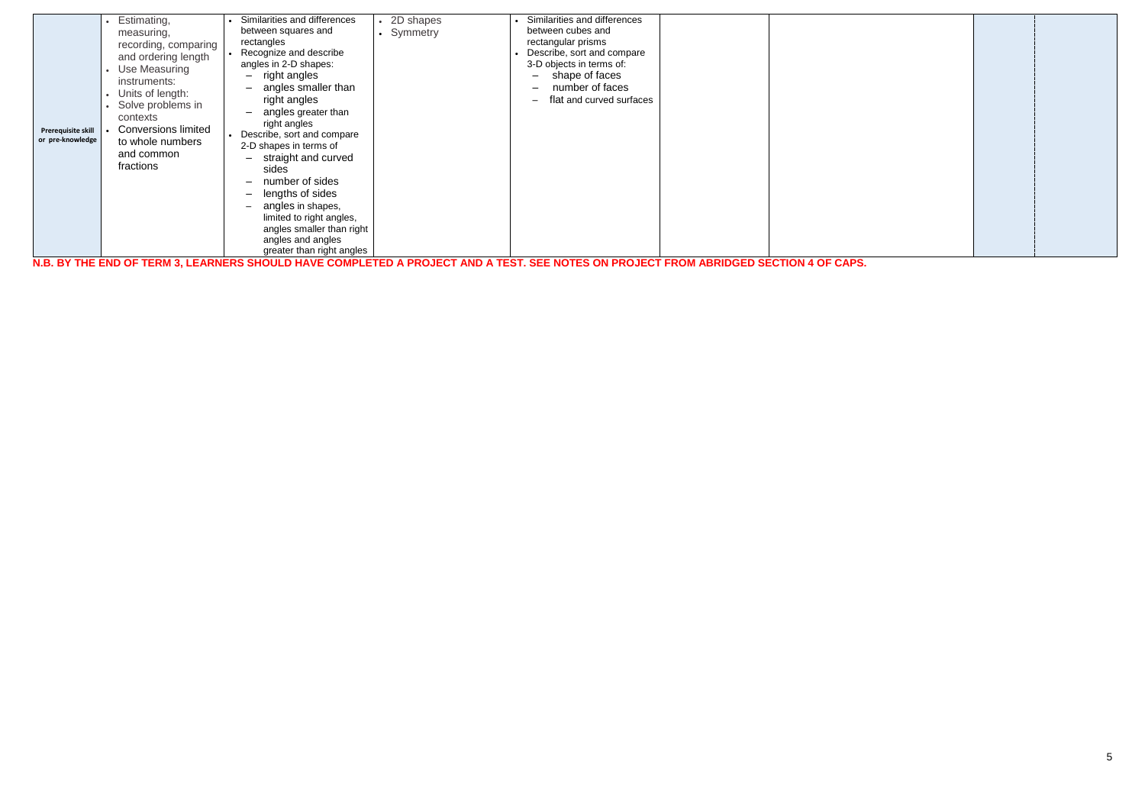| Similarities and differences<br>Similarities and differences<br>• 2D shapes<br>Estimating,<br>between cubes and<br>between squares and<br>• Symmetry<br>measuring,<br>rectangular prisms<br>rectangles<br>recording, comparing<br>Recognize and describe<br>Describe, sort and compare<br>and ordering length<br>angles in 2-D shapes:<br>3-D objects in terms of:<br>Use Measuring<br>$-$ right angles<br>shape of faces<br>$\overline{\phantom{m}}$<br>instruments:<br>- angles smaller than<br>number of faces<br>Units of length:<br>right angles<br>flat and curved surfaces<br>$\overline{\phantom{m}}$<br>Solve problems in<br>angles greater than<br>contexts<br>right angles<br><b>Conversions limited</b><br>Prerequisite skill<br>Describe, sort and compare<br>or pre-knowledge<br>to whole numbers<br>2-D shapes in terms of<br>and common<br>- straight and curved<br>fractions<br>sides<br>number of sides<br>lengths of sides<br>$-$<br>- angles in shapes,<br>limited to right angles,<br>angles smaller than right<br>angles and angles<br>greater than right angles<br>N.B. BY THE END OF TERM 3, LEARNERS SHOULD HAVE COMPLETED A PROJECT AND A TEST. SEE NOTES ON PROJECT FROM ABRIDGED SECTION 4 OF CAPS. |
|---------------------------------------------------------------------------------------------------------------------------------------------------------------------------------------------------------------------------------------------------------------------------------------------------------------------------------------------------------------------------------------------------------------------------------------------------------------------------------------------------------------------------------------------------------------------------------------------------------------------------------------------------------------------------------------------------------------------------------------------------------------------------------------------------------------------------------------------------------------------------------------------------------------------------------------------------------------------------------------------------------------------------------------------------------------------------------------------------------------------------------------------------------------------------------------------------------------------------------|
|---------------------------------------------------------------------------------------------------------------------------------------------------------------------------------------------------------------------------------------------------------------------------------------------------------------------------------------------------------------------------------------------------------------------------------------------------------------------------------------------------------------------------------------------------------------------------------------------------------------------------------------------------------------------------------------------------------------------------------------------------------------------------------------------------------------------------------------------------------------------------------------------------------------------------------------------------------------------------------------------------------------------------------------------------------------------------------------------------------------------------------------------------------------------------------------------------------------------------------|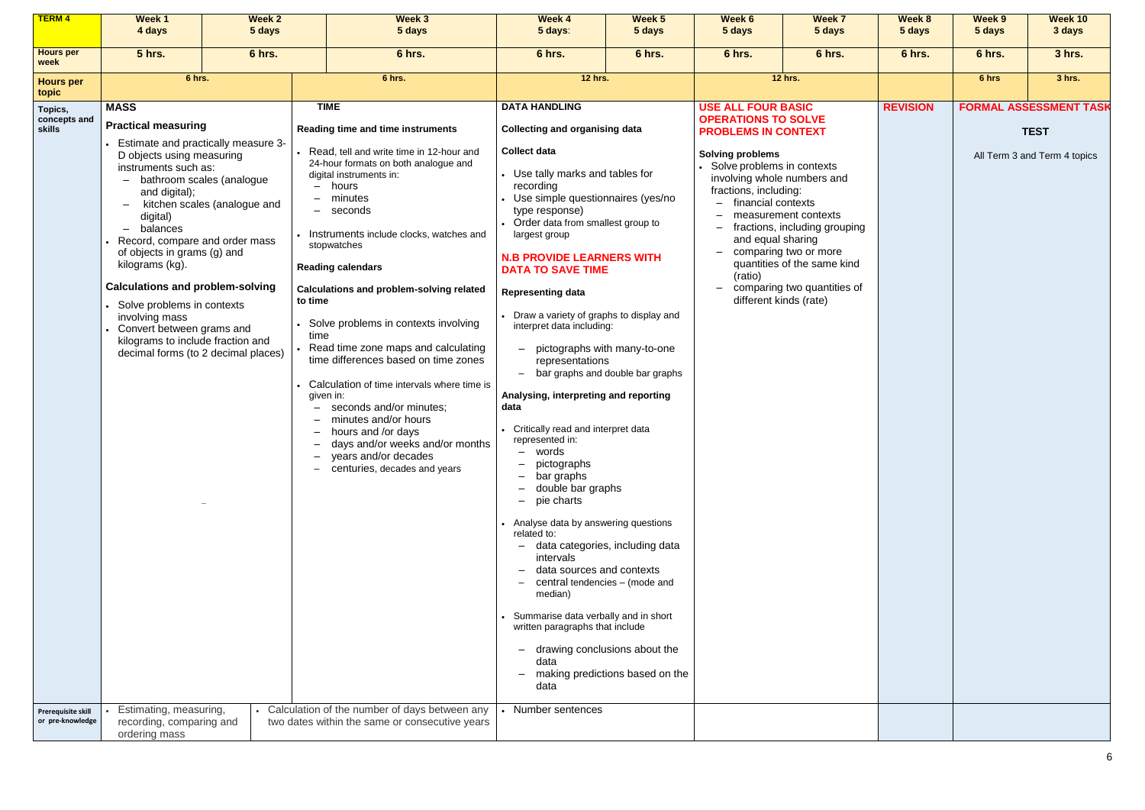| <b>TERM4</b>                                                     | <b>Week 1</b><br>4 days                                                                                                                                                                                                                                                                                                                                                                                                        | <b>Week 2</b><br>5 days                                                                                                                 | Week 3<br>5 days                                                                                                                                                                                                                                                                                                                                                                                                                                                                                                                                                                                                                                                                                                                                                                       | Week 4<br>5 days:                                                                                                                                                                                                                                                                                                                                                                                                                                                                                                                                                                                                                                                                                                                                                                                                                                                  | Week 5<br>5 days                                                                                                                                                                                          | Week 6<br>5 days                                                                                                                                                                                                                                                                                                                               | Week 7<br>5 days                                                                                                                             | Week 8<br>5 days | Week 9<br>5 days | Week 10<br>3 days                                                            |
|------------------------------------------------------------------|--------------------------------------------------------------------------------------------------------------------------------------------------------------------------------------------------------------------------------------------------------------------------------------------------------------------------------------------------------------------------------------------------------------------------------|-----------------------------------------------------------------------------------------------------------------------------------------|----------------------------------------------------------------------------------------------------------------------------------------------------------------------------------------------------------------------------------------------------------------------------------------------------------------------------------------------------------------------------------------------------------------------------------------------------------------------------------------------------------------------------------------------------------------------------------------------------------------------------------------------------------------------------------------------------------------------------------------------------------------------------------------|--------------------------------------------------------------------------------------------------------------------------------------------------------------------------------------------------------------------------------------------------------------------------------------------------------------------------------------------------------------------------------------------------------------------------------------------------------------------------------------------------------------------------------------------------------------------------------------------------------------------------------------------------------------------------------------------------------------------------------------------------------------------------------------------------------------------------------------------------------------------|-----------------------------------------------------------------------------------------------------------------------------------------------------------------------------------------------------------|------------------------------------------------------------------------------------------------------------------------------------------------------------------------------------------------------------------------------------------------------------------------------------------------------------------------------------------------|----------------------------------------------------------------------------------------------------------------------------------------------|------------------|------------------|------------------------------------------------------------------------------|
| <b>Hours per</b><br>week                                         | <b>5 hrs.</b>                                                                                                                                                                                                                                                                                                                                                                                                                  | 6 hrs.                                                                                                                                  | 6 hrs.                                                                                                                                                                                                                                                                                                                                                                                                                                                                                                                                                                                                                                                                                                                                                                                 | 6 hrs.                                                                                                                                                                                                                                                                                                                                                                                                                                                                                                                                                                                                                                                                                                                                                                                                                                                             | 6 hrs.                                                                                                                                                                                                    | 6 hrs.                                                                                                                                                                                                                                                                                                                                         | 6 hrs.                                                                                                                                       | 6 hrs.           | 6 hrs.           | 3 hrs.                                                                       |
| <b>Hours per</b>                                                 | 6 hrs.                                                                                                                                                                                                                                                                                                                                                                                                                         |                                                                                                                                         | 6 hrs.                                                                                                                                                                                                                                                                                                                                                                                                                                                                                                                                                                                                                                                                                                                                                                                 | <b>12 hrs.</b>                                                                                                                                                                                                                                                                                                                                                                                                                                                                                                                                                                                                                                                                                                                                                                                                                                                     |                                                                                                                                                                                                           |                                                                                                                                                                                                                                                                                                                                                | <b>12 hrs.</b>                                                                                                                               |                  | 3 hrs.<br>6 hrs  |                                                                              |
| topic<br>Topics,<br>concepts and<br>skills<br>Prerequisite skill | <b>MASS</b><br><b>Practical measuring</b><br>D objects using measuring<br>instruments such as:<br>$\equiv$<br>and digital);<br>digital)<br>balances<br>Record, compare and order mass<br>of objects in grams (g) and<br>kilograms (kg).<br><b>Calculations and problem-solving</b><br>Solve problems in contexts<br>involving mass<br>Convert between grams and<br>kilograms to include fraction and<br>Estimating, measuring, | Estimate and practically measure 3-<br>bathroom scales (analogue<br>kitchen scales (analogue and<br>decimal forms (to 2 decimal places) | <b>TIME</b><br>Reading time and time instruments<br>Read, tell and write time in 12-hour and<br>24-hour formats on both analogue and<br>digital instruments in:<br>hours<br>minutes<br>seconds<br>Instruments include clocks, watches and<br>stopwatches<br><b>Reading calendars</b><br><b>Calculations and problem-solving related</b><br>to time<br>Solve problems in contexts involving<br>time<br>Read time zone maps and calculating<br>time differences based on time zones<br>Calculation of time intervals where time is<br>given in:<br>seconds and/or minutes;<br>minutes and/or hours<br>- hours and /or days<br>days and/or weeks and/or months<br>Ξ.<br>years and/or decades<br>-<br>centuries, decades and years<br>$-$<br>Calculation of the number of days between any | <b>DATA HANDLING</b><br><b>Collecting and organising data</b><br><b>Collect data</b><br>Use tally marks and tables for<br>recording<br>Use simple questionnaires (yes/no<br>type response)<br>Order data from smallest group to<br>largest group<br><b>N.B PROVIDE LEARNERS WITH</b><br><b>DATA TO SAVE TIME</b><br><b>Representing data</b><br>Draw a variety of graphs to display and<br>interpret data including:<br>representations<br>Analysing, interpreting and reporting<br>data<br>• Critically read and interpret data<br>represented in:<br>words<br>$-$<br>pictographs<br>bar graphs<br>double bar graphs<br>pie charts<br>-<br>Analyse data by answering questions<br>related to:<br>intervals<br>data sources and contexts<br>median)<br>Summarise data verbally and in short<br>written paragraphs that include<br>data<br>data<br>Number sentences | pictographs with many-to-one<br>bar graphs and double bar graphs<br>data categories, including data<br>central tendencies - (mode and<br>drawing conclusions about the<br>making predictions based on the | <b>USE ALL FOUR BASIC</b><br><b>OPERATIONS TO SOLVE</b><br><b>PROBLEMS IN CONTEXT</b><br><b>Solving problems</b><br>Solve problems in contexts<br>involving whole numbers and<br>fractions, including:<br>financial contexts<br>and equal sharing<br>$\overline{\phantom{0}}$<br>(ratio)<br>$\overline{\phantom{0}}$<br>different kinds (rate) | measurement contexts<br>fractions, including grouping<br>comparing two or more<br>quantities of the same kind<br>comparing two quantities of | <b>REVISION</b>  |                  | <b>FORMAL ASSESSMENT TASK</b><br><b>TEST</b><br>All Term 3 and Term 4 topics |
| or pre-knowledge                                                 | recording, comparing and<br>ordering mass                                                                                                                                                                                                                                                                                                                                                                                      |                                                                                                                                         | two dates within the same or consecutive years                                                                                                                                                                                                                                                                                                                                                                                                                                                                                                                                                                                                                                                                                                                                         |                                                                                                                                                                                                                                                                                                                                                                                                                                                                                                                                                                                                                                                                                                                                                                                                                                                                    |                                                                                                                                                                                                           |                                                                                                                                                                                                                                                                                                                                                |                                                                                                                                              |                  |                  |                                                                              |